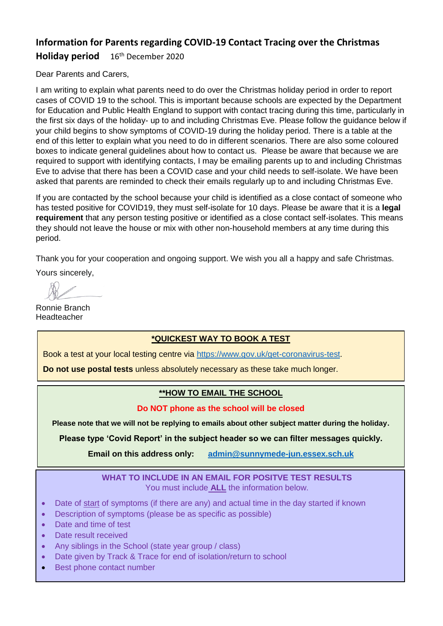## **Information for Parents regarding COVID-19 Contact Tracing over the Christmas**

**Holiday period** 16th December 2020

Dear Parents and Carers,

I am writing to explain what parents need to do over the Christmas holiday period in order to report cases of COVID 19 to the school. This is important because schools are expected by the Department for Education and Public Health England to support with contact tracing during this time, particularly in the first six days of the holiday- up to and including Christmas Eve. Please follow the guidance below if your child begins to show symptoms of COVID-19 during the holiday period. There is a table at the end of this letter to explain what you need to do in different scenarios. There are also some coloured boxes to indicate general guidelines about how to contact us. Please be aware that because we are required to support with identifying contacts, I may be emailing parents up to and including Christmas Eve to advise that there has been a COVID case and your child needs to self-isolate. We have been asked that parents are reminded to check their emails regularly up to and including Christmas Eve.

If you are contacted by the school because your child is identified as a close contact of someone who has tested positive for COVID19, they must self-isolate for 10 days. Please be aware that it is a **legal requirement** that any person testing positive or identified as a close contact self-isolates. This means they should not leave the house or mix with other non-household members at any time during this period.

Thank you for your cooperation and ongoing support. We wish you all a happy and safe Christmas.

Yours sincerely,

Ronnie Branch Headteacher

## **\*QUICKEST WAY TO BOOK A TEST**

Book a test at your local testing centre via [https://www.gov.uk/get-coronavirus-test.](https://www.gov.uk/get-coronavirus-test)

**Do not use postal tests** unless absolutely necessary as these take much longer.

## **\*\*HOW TO EMAIL THE SCHOOL**

### **Do NOT phone as the school will be closed**

**Please note that we will not be replying to emails about other subject matter during the holiday.**

**Please type 'Covid Report' in the subject header so we can filter messages quickly.**

**Email on this address only: [admin@sunnymede-jun.essex.sch.uk](mailto:admin@sunnymede-jun.essex.sch.uk)**

#### **WHAT TO INCLUDE IN AN EMAIL FOR POSITVE TEST RESULTS** You must include **ALL** the information below.

- Date of start of symptoms (if there are any) and actual time in the day started if known
- Description of symptoms (please be as specific as possible)
- Date and time of test
- Date result received
- Any siblings in the School (state year group / class)
- Date given by Track & Trace for end of isolation/return to school
- Best phone contact number